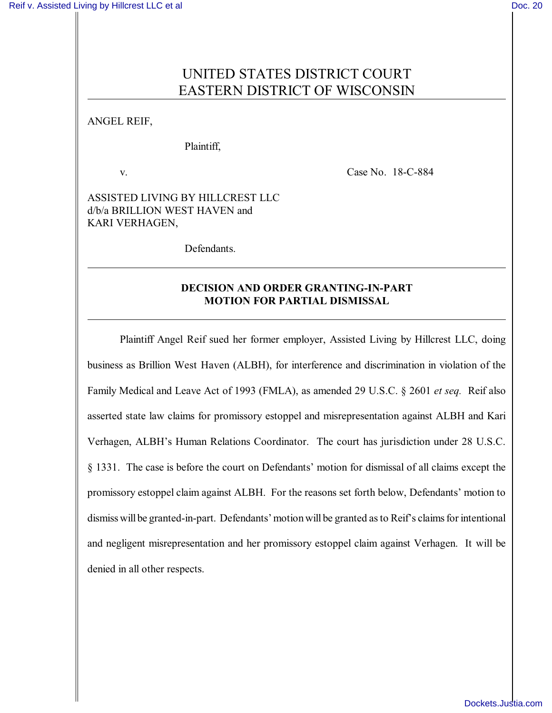# UNITED STATES DISTRICT COURT EASTERN DISTRICT OF WISCONSIN

ANGEL REIF,

Plaintiff,

v. Case No. 18-C-884

ASSISTED LIVING BY HILLCREST LLC d/b/a BRILLION WEST HAVEN and KARI VERHAGEN,

Defendants.

## **DECISION AND ORDER GRANTING-IN-PART MOTION FOR PARTIAL DISMISSAL**

Plaintiff Angel Reif sued her former employer, Assisted Living by Hillcrest LLC, doing business as Brillion West Haven (ALBH), for interference and discrimination in violation of the Family Medical and Leave Act of 1993 (FMLA), as amended 29 U.S.C. § 2601 *et seq.* Reif also asserted state law claims for promissory estoppel and misrepresentation against ALBH and Kari Verhagen, ALBH's Human Relations Coordinator. The court has jurisdiction under 28 U.S.C. § 1331. The case is before the court on Defendants' motion for dismissal of all claims except the promissory estoppel claim against ALBH. For the reasons set forth below, Defendants' motion to dismiss will be granted-in-part. Defendants' motion will be granted as to Reif's claims for intentional and negligent misrepresentation and her promissory estoppel claim against Verhagen. It will be denied in all other respects.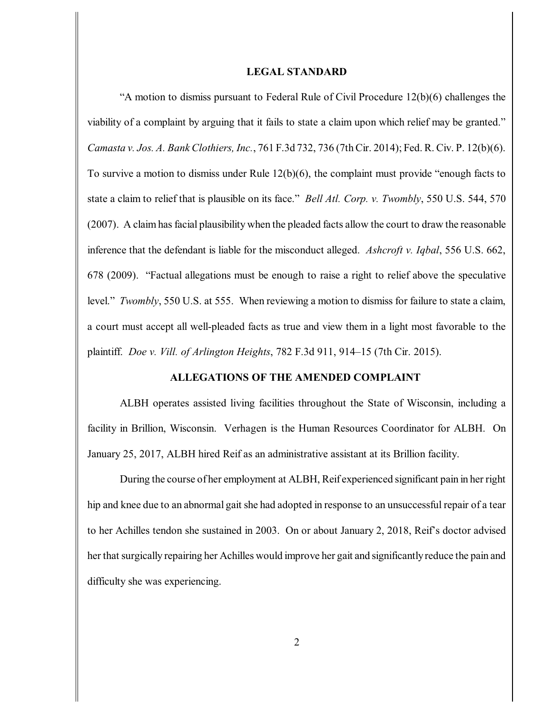#### **LEGAL STANDARD**

"A motion to dismiss pursuant to Federal Rule of Civil Procedure 12(b)(6) challenges the viability of a complaint by arguing that it fails to state a claim upon which relief may be granted." *Camasta v. Jos. A. Bank Clothiers, Inc.*, 761 F.3d 732, 736 (7thCir. 2014); Fed. R. Civ. P. 12(b)(6). To survive a motion to dismiss under Rule 12(b)(6), the complaint must provide "enough facts to state a claim to relief that is plausible on its face." *Bell Atl. Corp. v. Twombly*, 550 U.S. 544, 570 (2007). A claim has facial plausibility when the pleaded facts allow the court to draw the reasonable inference that the defendant is liable for the misconduct alleged. *Ashcroft v. Iqbal*, 556 U.S. 662, 678 (2009). "Factual allegations must be enough to raise a right to relief above the speculative level." *Twombly*, 550 U.S. at 555. When reviewing a motion to dismiss for failure to state a claim, a court must accept all well-pleaded facts as true and view them in a light most favorable to the plaintiff. *Doe v. Vill. of Arlington Heights*, 782 F.3d 911, 914–15 (7th Cir. 2015).

### **ALLEGATIONS OF THE AMENDED COMPLAINT**

ALBH operates assisted living facilities throughout the State of Wisconsin, including a facility in Brillion, Wisconsin. Verhagen is the Human Resources Coordinator for ALBH. On January 25, 2017, ALBH hired Reif as an administrative assistant at its Brillion facility.

During the course of her employment at ALBH, Reif experienced significant pain in her right hip and knee due to an abnormal gait she had adopted in response to an unsuccessful repair of a tear to her Achilles tendon she sustained in 2003. On or about January 2, 2018, Reif's doctor advised her that surgically repairing her Achilles would improve her gait and significantlyreduce the pain and difficulty she was experiencing.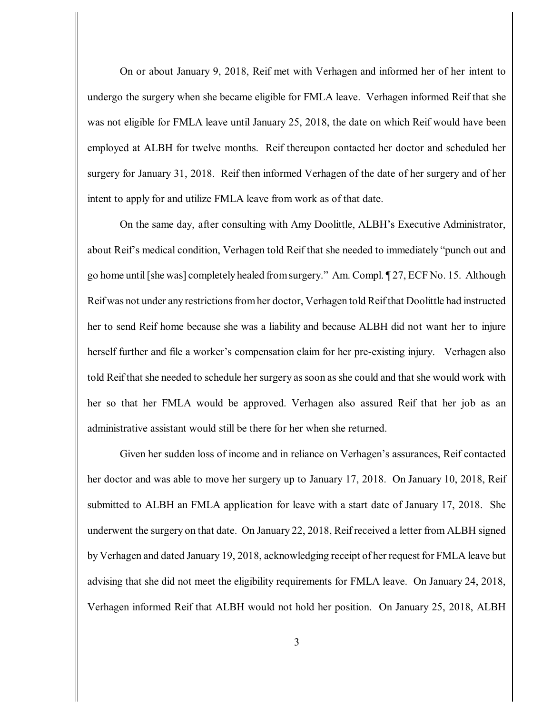On or about January 9, 2018, Reif met with Verhagen and informed her of her intent to undergo the surgery when she became eligible for FMLA leave. Verhagen informed Reif that she was not eligible for FMLA leave until January 25, 2018, the date on which Reif would have been employed at ALBH for twelve months. Reif thereupon contacted her doctor and scheduled her surgery for January 31, 2018. Reif then informed Verhagen of the date of her surgery and of her intent to apply for and utilize FMLA leave from work as of that date.

On the same day, after consulting with Amy Doolittle, ALBH's Executive Administrator, about Reif's medical condition, Verhagen told Reif that she needed to immediately "punch out and go home until[she was] completely healed fromsurgery." Am. Compl. ¶ 27, ECF No. 15. Although Reif was not under any restrictions from her doctor, Verhagen told Reif that Doolittle had instructed her to send Reif home because she was a liability and because ALBH did not want her to injure herself further and file a worker's compensation claim for her pre-existing injury. Verhagen also told Reif that she needed to schedule her surgery assoon asshe could and that she would work with her so that her FMLA would be approved. Verhagen also assured Reif that her job as an administrative assistant would still be there for her when she returned.

Given her sudden loss of income and in reliance on Verhagen's assurances, Reif contacted her doctor and was able to move her surgery up to January 17, 2018. On January 10, 2018, Reif submitted to ALBH an FMLA application for leave with a start date of January 17, 2018. She underwent the surgery on that date. On January 22, 2018, Reif received a letter from ALBH signed by Verhagen and dated January 19, 2018, acknowledging receipt of her request for FMLA leave but advising that she did not meet the eligibility requirements for FMLA leave. On January 24, 2018, Verhagen informed Reif that ALBH would not hold her position. On January 25, 2018, ALBH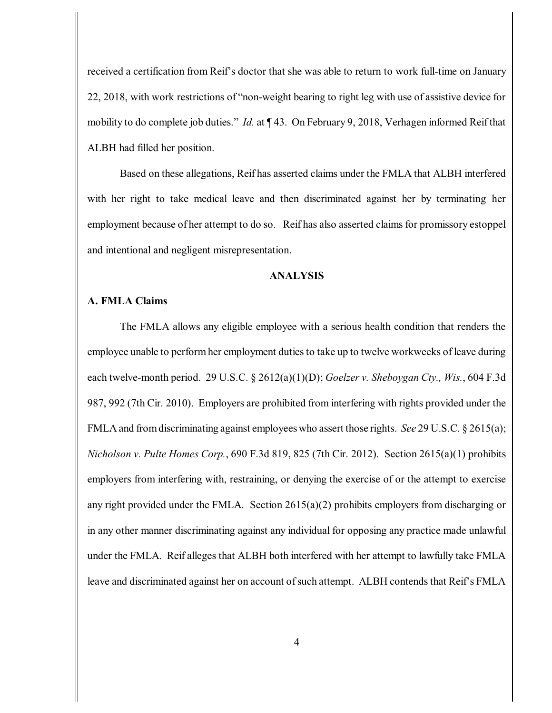received a certification from Reif's doctor that she was able to return to work full-time on January 22, 2018, with work restrictions of "non-weight bearing to right leg with use of assistive device for mobility to do complete job duties." *Id.* at ¶ 43. On February 9, 2018, Verhagen informed Reif that ALBH had filled her position.

Based on these allegations, Reif has asserted claims under the FMLA that ALBH interfered with her right to take medical leave and then discriminated against her by terminating her employment because of her attempt to do so. Reif has also asserted claims for promissory estoppel and intentional and negligent misrepresentation.

#### **ANALYSIS**

## **A. FMLA Claims**

The FMLA allows any eligible employee with a serious health condition that renders the employee unable to perform her employment duties to take up to twelve workweeks of leave during each twelve-month period. 29 U.S.C. § 2612(a)(1)(D); *Goelzer v. Sheboygan Cty., Wis.*, 604 F.3d 987, 992 (7th Cir. 2010). Employers are prohibited from interfering with rights provided under the FMLA and fromdiscriminating against employeeswho assert those rights. *See* 29 U.S.C. § 2615(a); *Nicholson v. Pulte Homes Corp.*, 690 F.3d 819, 825 (7th Cir. 2012). Section 2615(a)(1) prohibits employers from interfering with, restraining, or denying the exercise of or the attempt to exercise any right provided under the FMLA. Section 2615(a)(2) prohibits employers from discharging or in any other manner discriminating against any individual for opposing any practice made unlawful under the FMLA. Reif alleges that ALBH both interfered with her attempt to lawfully take FMLA leave and discriminated against her on account of such attempt. ALBH contends that Reif's FMLA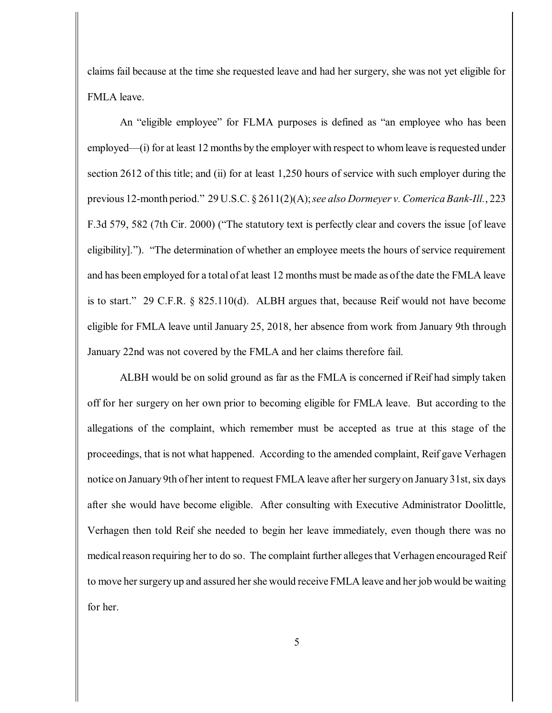claims fail because at the time she requested leave and had her surgery, she was not yet eligible for FMLA leave.

An "eligible employee" for FLMA purposes is defined as "an employee who has been employed—(i) for at least 12 months by the employer with respect to whom leave is requested under section 2612 of this title; and (ii) for at least 1,250 hours of service with such employer during the previous 12-month period." 29 U.S.C. § 2611(2)(A);*see also Dormeyer v. Comerica Bank-Ill.*, 223 F.3d 579, 582 (7th Cir. 2000) ("The statutory text is perfectly clear and covers the issue [of leave eligibility]."). "The determination of whether an employee meets the hours of service requirement and has been employed for a total of at least 12 months must be made as of the date the FMLA leave is to start." 29 C.F.R. § 825.110(d). ALBH argues that, because Reif would not have become eligible for FMLA leave until January 25, 2018, her absence from work from January 9th through January 22nd was not covered by the FMLA and her claims therefore fail.

ALBH would be on solid ground as far as the FMLA is concerned if Reif had simply taken off for her surgery on her own prior to becoming eligible for FMLA leave. But according to the allegations of the complaint, which remember must be accepted as true at this stage of the proceedings, that is not what happened. According to the amended complaint, Reif gave Verhagen notice on January 9th of her intent to request FMLA leave after her surgery on January 31st, six days after she would have become eligible. After consulting with Executive Administrator Doolittle, Verhagen then told Reif she needed to begin her leave immediately, even though there was no medical reason requiring her to do so. The complaint further alleges that Verhagen encouraged Reif to move her surgery up and assured her she would receive FMLA leave and her job would be waiting for her.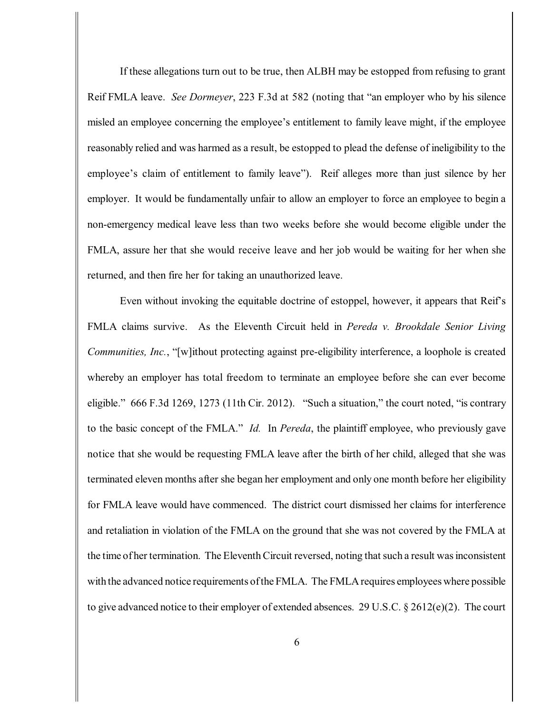If these allegations turn out to be true, then ALBH may be estopped from refusing to grant Reif FMLA leave. *See Dormeyer*, 223 F.3d at 582 (noting that "an employer who by his silence misled an employee concerning the employee's entitlement to family leave might, if the employee reasonably relied and was harmed as a result, be estopped to plead the defense of ineligibility to the employee's claim of entitlement to family leave"). Reif alleges more than just silence by her employer. It would be fundamentally unfair to allow an employer to force an employee to begin a non-emergency medical leave less than two weeks before she would become eligible under the FMLA, assure her that she would receive leave and her job would be waiting for her when she returned, and then fire her for taking an unauthorized leave.

Even without invoking the equitable doctrine of estoppel, however, it appears that Reif's FMLA claims survive. As the Eleventh Circuit held in *Pereda v. Brookdale Senior Living Communities, Inc.*, "[w]ithout protecting against pre-eligibility interference, a loophole is created whereby an employer has total freedom to terminate an employee before she can ever become eligible." 666 F.3d 1269, 1273 (11th Cir. 2012). "Such a situation," the court noted, "is contrary to the basic concept of the FMLA." *Id.* In *Pereda*, the plaintiff employee, who previously gave notice that she would be requesting FMLA leave after the birth of her child, alleged that she was terminated eleven months after she began her employment and only one month before her eligibility for FMLA leave would have commenced. The district court dismissed her claims for interference and retaliation in violation of the FMLA on the ground that she was not covered by the FMLA at the time of her termination. The Eleventh Circuit reversed, noting that such a result was inconsistent with the advanced notice requirements of the FMLA. The FMLA requires employees where possible to give advanced notice to their employer of extended absences. 29 U.S.C. § 2612(e)(2). The court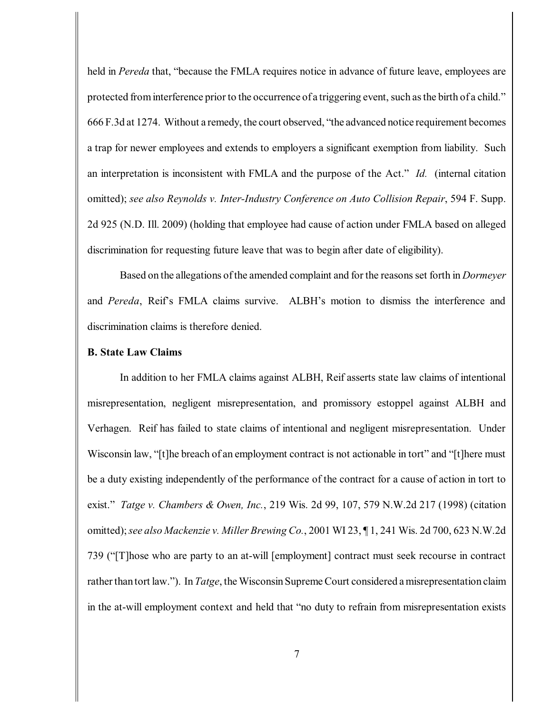held in *Pereda* that, "because the FMLA requires notice in advance of future leave, employees are protected from interference prior to the occurrence of a triggering event, such as the birth of a child." 666 F.3d at 1274. Without a remedy, the court observed, "the advanced notice requirement becomes a trap for newer employees and extends to employers a significant exemption from liability. Such an interpretation is inconsistent with FMLA and the purpose of the Act." *Id.* (internal citation omitted); *see also Reynolds v. Inter-Industry Conference on Auto Collision Repair*, 594 F. Supp. 2d 925 (N.D. Ill. 2009) (holding that employee had cause of action under FMLA based on alleged discrimination for requesting future leave that was to begin after date of eligibility).

Based on the allegations ofthe amended complaint and for the reasonsset forth in *Dormeyer* and *Pereda*, Reif's FMLA claims survive. ALBH's motion to dismiss the interference and discrimination claims is therefore denied.

## **B. State Law Claims**

In addition to her FMLA claims against ALBH, Reif asserts state law claims of intentional misrepresentation, negligent misrepresentation, and promissory estoppel against ALBH and Verhagen. Reif has failed to state claims of intentional and negligent misrepresentation. Under Wisconsin law, "[t]he breach of an employment contract is not actionable in tort" and "[t]here must be a duty existing independently of the performance of the contract for a cause of action in tort to exist." *Tatge v. Chambers & Owen, Inc.*, 219 Wis. 2d 99, 107, 579 N.W.2d 217 (1998) (citation omitted);*see also Mackenzie v. Miller Brewing Co.*, 2001 WI 23, ¶ 1, 241 Wis. 2d 700, 623 N.W.2d 739 ("[T]hose who are party to an at-will [employment] contract must seek recourse in contract rather than tort law."). In *Tatge*, the Wisconsin Supreme Court considered a misrepresentation claim in the at-will employment context and held that "no duty to refrain from misrepresentation exists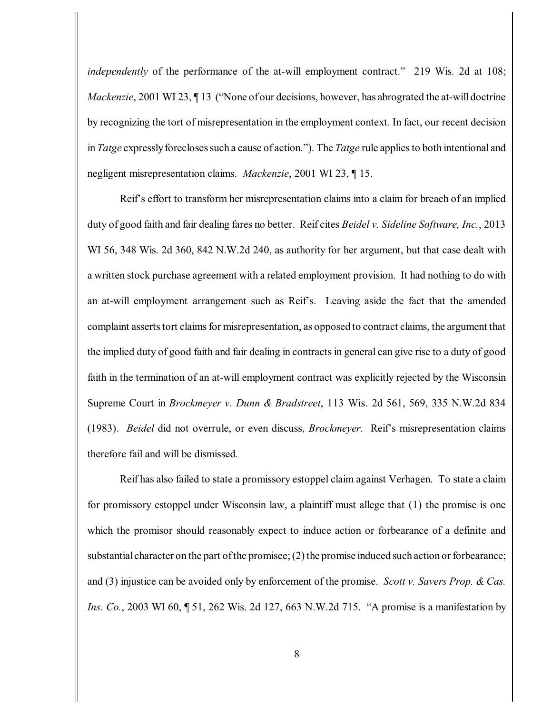*independently* of the performance of the at-will employment contract." 219 Wis. 2d at 108; *Mackenzie*, 2001 WI 23,  $\P$  13 ("None of our decisions, however, has abrograted the at-will doctrine by recognizing the tort of misrepresentation in the employment context. In fact, our recent decision in *Tatge* expressly forecloses such a cause of action."). The *Tatge* rule applies to both intentional and negligent misrepresentation claims. *Mackenzie*, 2001 WI 23, ¶ 15.

Reif's effort to transform her misrepresentation claims into a claim for breach of an implied duty of good faith and fair dealing fares no better. Reif cites *Beidel v. Sideline Software, Inc.*, 2013 WI 56, 348 Wis. 2d 360, 842 N.W.2d 240, as authority for her argument, but that case dealt with a written stock purchase agreement with a related employment provision. It had nothing to do with an at-will employment arrangement such as Reif's. Leaving aside the fact that the amended complaint asserts tort claims for misrepresentation, as opposed to contract claims, the argument that the implied duty of good faith and fair dealing in contracts in general can give rise to a duty of good faith in the termination of an at-will employment contract was explicitly rejected by the Wisconsin Supreme Court in *Brockmeyer v. Dunn & Bradstreet*, 113 Wis. 2d 561, 569, 335 N.W.2d 834 (1983). *Beidel* did not overrule, or even discuss, *Brockmeyer*. Reif's misrepresentation claims therefore fail and will be dismissed.

Reif has also failed to state a promissory estoppel claim against Verhagen. To state a claim for promissory estoppel under Wisconsin law, a plaintiff must allege that (1) the promise is one which the promisor should reasonably expect to induce action or forbearance of a definite and substantial character on the part of the promisee; (2) the promise induced such action or forbearance; and (3) injustice can be avoided only by enforcement of the promise. *Scott v. Savers Prop. & Cas. Ins. Co.*, 2003 WI 60, 151, 262 Wis. 2d 127, 663 N.W.2d 715. "A promise is a manifestation by